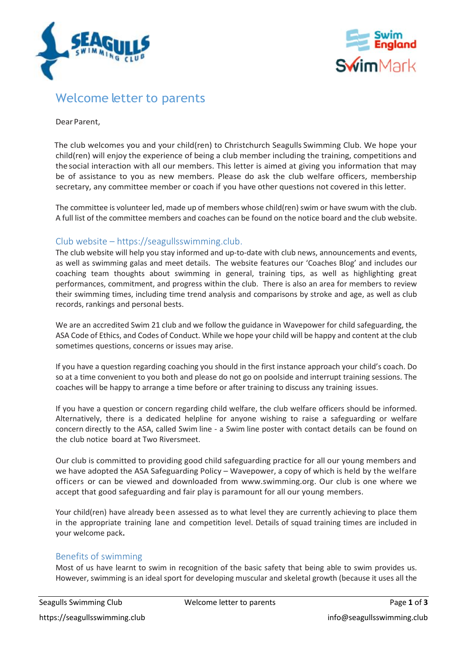



# Welcome letter to parents

#### Dear Parent,

The club welcomes you and your child(ren) to Christchurch Seagulls Swimming Club. We hope your child(ren) will enjoy the experience of being a club member including the training, competitions and the social interaction with all our members. This letter is aimed at giving you information that may be of assistance to you as new members. Please do ask the club welfare officers, membership secretary, any committee member or coach if you have other questions not covered in this letter.

The committee is volunteer led, made up of members whose child(ren) swim or have swum with the club. A full list of the committee members and coaches can be found on the notice board and the club website.

# Club website – https://seagullsswimming.club.

The club website will help you stay informed and up-to-date with club news, announcements and events, as well as swimming galas and meet details. The website features our 'Coaches Blog' and includes our coaching team thoughts about swimming in general, training tips, as well as highlighting great performances, commitment, and progress within the club. There is also an area for members to review their swimming times, including time trend analysis and comparisons by stroke and age, as well as club records, rankings and personal bests.

We are an accredited Swim 21 club and we follow the guidance in Wavepower for child safeguarding, the ASA Code of Ethics, and Codes of Conduct. While we hope your child will be happy and content at the club sometimes questions, concerns or issues may arise.

If you have a question regarding coaching you should in the first instance approach your child's coach. Do so at a time convenient to you both and please do not go on poolside and interrupt training sessions. The coaches will be happy to arrange a time before or after training to discuss any training issues.

If you have a question or concern regarding child welfare, the club welfare officers should be informed. Alternatively, there is a dedicated helpline for anyone wishing to raise a safeguarding or welfare concern directly to the ASA, called Swim line - a Swim line poster with contact details can be found on the club notice board at Two Riversmeet.

Our club is committed to providing good child safeguarding practice for all our young members and we have adopted the ASA Safeguarding Policy – Wavepower, a copy of which is held by the welfare officers or can be viewed and downloaded from www.swimming.org. Our club is one where we accept that good safeguarding and fair play is paramount for all our young members.

Your child(ren) have already been assessed as to what level they are currently achieving to place them in the appropriate training lane and competition level. Details of squad training times are included in your welcome pack**.**

## Benefits of swimming

Most of us have learnt to swim in recognition of the basic safety that being able to swim provides us. However, swimming is an ideal sport for developing muscular and skeletal growth (because it uses all the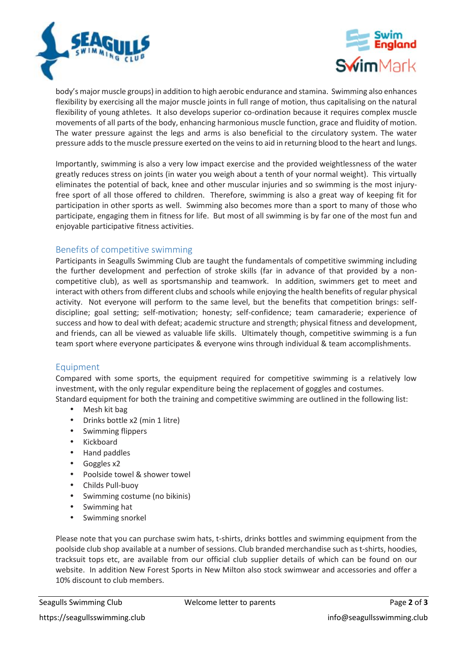



body's major muscle groups) in addition to high aerobic endurance and stamina. Swimming also enhances flexibility by exercising all the major muscle joints in full range of motion, thus capitalising on the natural flexibility of young athletes. It also develops superior co-ordination because it requires complex muscle movements of all parts of the body, enhancing harmonious muscle function, grace and fluidity of motion. The water pressure against the legs and arms is also beneficial to the circulatory system. The water pressure adds to the muscle pressure exerted on the veins to aid in returning blood to the heart and lungs.

Importantly, swimming is also a very low impact exercise and the provided weightlessness of the water greatly reduces stress on joints (in water you weigh about a tenth of your normal weight). This virtually eliminates the potential of back, knee and other muscular injuries and so swimming is the most injuryfree sport of all those offered to children. Therefore, swimming is also a great way of keeping fit for participation in other sports as well. Swimming also becomes more than a sport to many of those who participate, engaging them in fitness for life. But most of all swimming is by far one of the most fun and enjoyable participative fitness activities.

# Benefits of competitive swimming

Participants in Seagulls Swimming Club are taught the fundamentals of competitive swimming including the further development and perfection of stroke skills (far in advance of that provided by a non competitive club), as well as sportsmanship and teamwork. In addition, swimmers get to meet and interact with others from different clubs and schools while enjoying the health benefits of regular physical activity. Not everyone will perform to the same level, but the benefits that competition brings: self discipline; goal setting; self-motivation; honesty; self-confidence; team camaraderie; experience of success and how to deal with defeat; academic structure and strength; physical fitness and development, and friends, can all be viewed as valuable life skills. Ultimately though, competitive swimming is a fun team sport where everyone participates & everyone wins through individual & team accomplishments.

## Equipment

Compared with some sports, the equipment required for competitive swimming is a relatively low investment, with the only regular expenditure being the replacement of goggles and costumes. Standard equipment for both the training and competitive swimming are outlined in the following list:

- Mesh kit bag
- Drinks bottle x2 (min 1 litre)
- Swimming flippers
- Kickboard
- Hand paddles
- Goggles x2
- Poolside towel & shower towel
- Childs Pull-buoy
- Swimming costume (no bikinis)
- Swimming hat
- Swimming snorkel

Please note that you can purchase swim hats, t-shirts, drinks bottles and swimming equipment from the poolside club shop available at a number of sessions. Club branded merchandise such as t-shirts, hoodies, tracksuit tops etc, are available from our official club supplier details of which can be found on our website. In addition New Forest Sports in New Milton also stock swimwear and accessories and offer a 10% discount to club members.